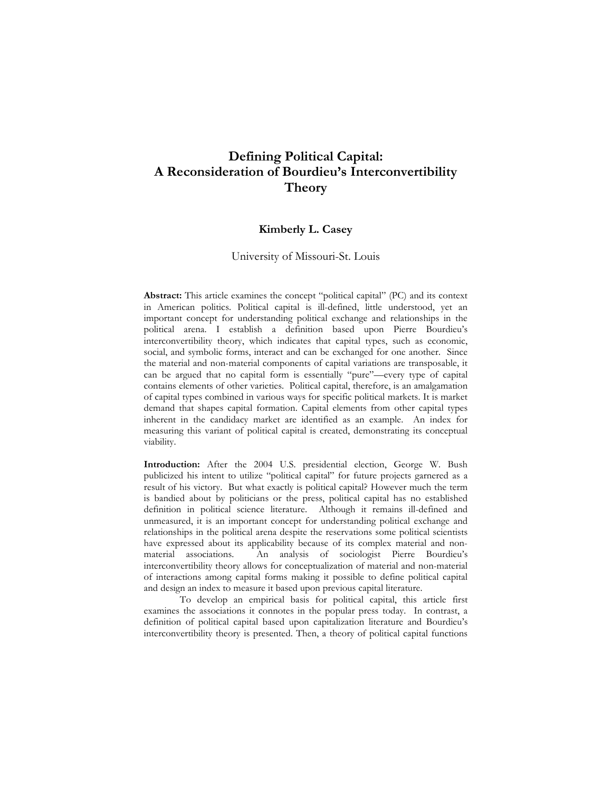# Defining Political Capital: A Reconsideration of Bourdieu's Interconvertibility Theory

# Kimberly L. Casey

## University of Missouri-St. Louis

Abstract: This article examines the concept "political capital" (PC) and its context in American politics. Political capital is ill-defined, little understood, yet an important concept for understanding political exchange and relationships in the political arena. I establish a definition based upon Pierre Bourdieu's interconvertibility theory, which indicates that capital types, such as economic, social, and symbolic forms, interact and can be exchanged for one another. Since the material and non-material components of capital variations are transposable, it can be argued that no capital form is essentially "pure"—every type of capital contains elements of other varieties. Political capital, therefore, is an amalgamation of capital types combined in various ways for specific political markets. It is market demand that shapes capital formation. Capital elements from other capital types inherent in the candidacy market are identified as an example. An index for measuring this variant of political capital is created, demonstrating its conceptual viability.

Introduction: After the 2004 U.S. presidential election, George W. Bush publicized his intent to utilize "political capital" for future projects garnered as a result of his victory. But what exactly is political capital? However much the term is bandied about by politicians or the press, political capital has no established definition in political science literature. Although it remains ill-defined and unmeasured, it is an important concept for understanding political exchange and relationships in the political arena despite the reservations some political scientists have expressed about its applicability because of its complex material and nonmaterial associations. An analysis of sociologist Pierre Bourdieu's interconvertibility theory allows for conceptualization of material and non-material of interactions among capital forms making it possible to define political capital and design an index to measure it based upon previous capital literature.

To develop an empirical basis for political capital, this article first examines the associations it connotes in the popular press today. In contrast, a definition of political capital based upon capitalization literature and Bourdieu's interconvertibility theory is presented. Then, a theory of political capital functions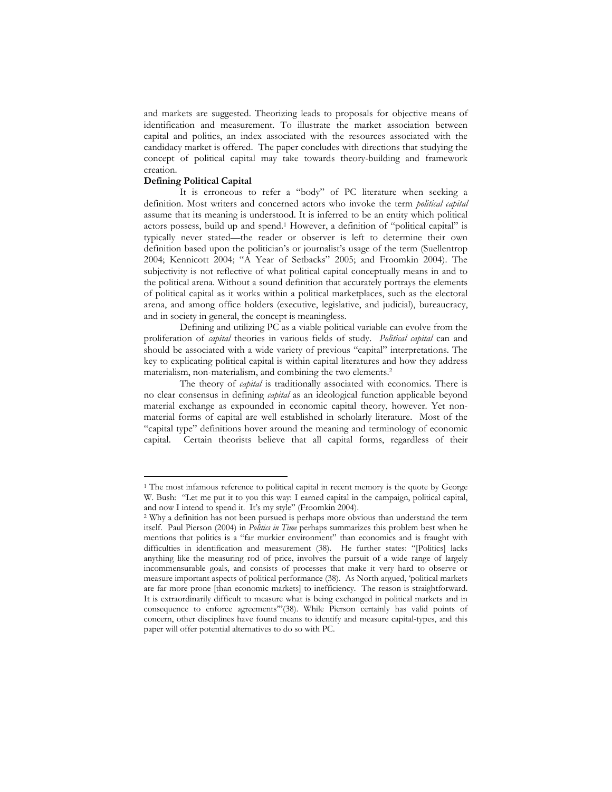and markets are suggested. Theorizing leads to proposals for objective means of identification and measurement. To illustrate the market association between capital and politics, an index associated with the resources associated with the candidacy market is offered. The paper concludes with directions that studying the concept of political capital may take towards theory-building and framework creation.

## Defining Political Capital

<u>.</u>

It is erroneous to refer a "body" of PC literature when seeking a definition. Most writers and concerned actors who invoke the term political capital assume that its meaning is understood. It is inferred to be an entity which political actors possess, build up and spend.<sup>1</sup> However, a definition of "political capital" is typically never stated—the reader or observer is left to determine their own definition based upon the politician's or journalist's usage of the term (Suellentrop 2004; Kennicott 2004; "A Year of Setbacks" 2005; and Froomkin 2004). The subjectivity is not reflective of what political capital conceptually means in and to the political arena. Without a sound definition that accurately portrays the elements of political capital as it works within a political marketplaces, such as the electoral arena, and among office holders (executive, legislative, and judicial), bureaucracy, and in society in general, the concept is meaningless.

Defining and utilizing PC as a viable political variable can evolve from the proliferation of *capital* theories in various fields of study. *Political capital* can and should be associated with a wide variety of previous "capital" interpretations. The key to explicating political capital is within capital literatures and how they address materialism, non-materialism, and combining the two elements.<sup>2</sup>

The theory of *capital* is traditionally associated with economics. There is no clear consensus in defining capital as an ideological function applicable beyond material exchange as expounded in economic capital theory, however. Yet nonmaterial forms of capital are well established in scholarly literature. Most of the "capital type" definitions hover around the meaning and terminology of economic capital. Certain theorists believe that all capital forms, regardless of their

<sup>&</sup>lt;sup>1</sup> The most infamous reference to political capital in recent memory is the quote by George W. Bush: "Let me put it to you this way: I earned capital in the campaign, political capital, and now I intend to spend it. It's my style" (Froomkin 2004).

<sup>2</sup> Why a definition has not been pursued is perhaps more obvious than understand the term itself. Paul Pierson (2004) in *Politics in Time* perhaps summarizes this problem best when he mentions that politics is a "far murkier environment" than economics and is fraught with difficulties in identification and measurement (38). He further states: "[Politics] lacks anything like the measuring rod of price, involves the pursuit of a wide range of largely incommensurable goals, and consists of processes that make it very hard to observe or measure important aspects of political performance (38). As North argued, 'political markets are far more prone [than economic markets] to inefficiency. The reason is straightforward. It is extraordinarily difficult to measure what is being exchanged in political markets and in consequence to enforce agreements'"(38). While Pierson certainly has valid points of concern, other disciplines have found means to identify and measure capital-types, and this paper will offer potential alternatives to do so with PC.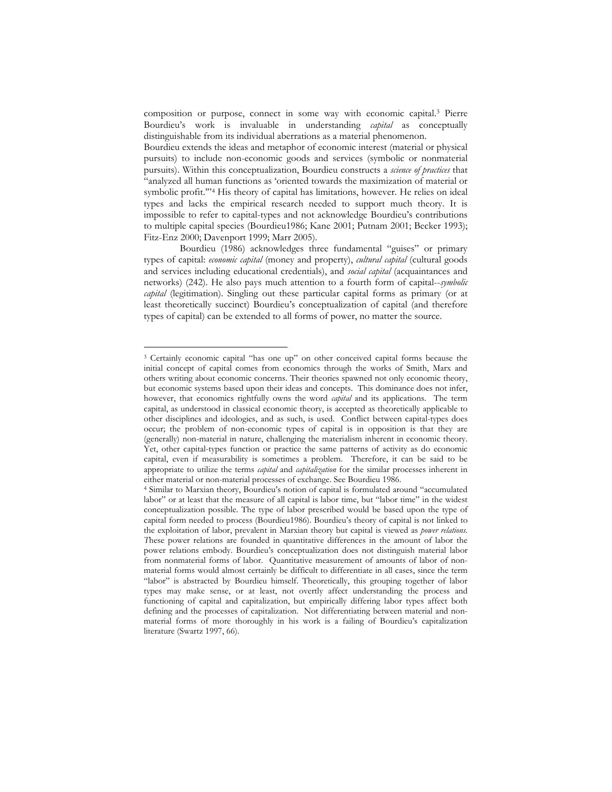composition or purpose, connect in some way with economic capital.<sup>3</sup> Pierre Bourdieu's work is invaluable in understanding *capital* as conceptually distinguishable from its individual aberrations as a material phenomenon.

Bourdieu extends the ideas and metaphor of economic interest (material or physical pursuits) to include non-economic goods and services (symbolic or nonmaterial pursuits). Within this conceptualization, Bourdieu constructs a science of practices that "analyzed all human functions as 'oriented towards the maximization of material or symbolic profit.'"<sup>4</sup> His theory of capital has limitations, however. He relies on ideal types and lacks the empirical research needed to support much theory. It is impossible to refer to capital-types and not acknowledge Bourdieu's contributions to multiple capital species (Bourdieu1986; Kane 2001; Putnam 2001; Becker 1993); Fitz-Enz 2000; Davenport 1999; Marr 2005).

Bourdieu (1986) acknowledges three fundamental "guises" or primary types of capital: economic capital (money and property), cultural capital (cultural goods and services including educational credentials), and *social capital* (acquaintances and networks) (242). He also pays much attention to a fourth form of capital--*symbolic capital* (legitimation). Singling out these particular capital forms as primary (or at least theoretically succinct) Bourdieu's conceptualization of capital (and therefore types of capital) can be extended to all forms of power, no matter the source.

<sup>3</sup> Certainly economic capital "has one up" on other conceived capital forms because the initial concept of capital comes from economics through the works of Smith, Marx and others writing about economic concerns. Their theories spawned not only economic theory, but economic systems based upon their ideas and concepts. This dominance does not infer, however, that economics rightfully owns the word *capital* and its applications. The term capital, as understood in classical economic theory, is accepted as theoretically applicable to other disciplines and ideologies, and as such, is used. Conflict between capital-types does occur; the problem of non-economic types of capital is in opposition is that they are (generally) non-material in nature, challenging the materialism inherent in economic theory. Yet, other capital-types function or practice the same patterns of activity as do economic capital, even if measurability is sometimes a problem. Therefore, it can be said to be appropriate to utilize the terms *capital* and *capitalization* for the similar processes inherent in either material or non-material processes of exchange. See Bourdieu 1986.

<sup>4</sup> Similar to Marxian theory, Bourdieu's notion of capital is formulated around "accumulated labor" or at least that the measure of all capital is labor time, but "labor time" in the widest conceptualization possible. The type of labor prescribed would be based upon the type of capital form needed to process (Bourdieu1986). Bourdieu's theory of capital is not linked to the exploitation of labor, prevalent in Marxian theory but capital is viewed as power relations. These power relations are founded in quantitative differences in the amount of labor the power relations embody. Bourdieu's conceptualization does not distinguish material labor from nonmaterial forms of labor. Quantitative measurement of amounts of labor of nonmaterial forms would almost certainly be difficult to differentiate in all cases, since the term "labor" is abstracted by Bourdieu himself. Theoretically, this grouping together of labor types may make sense, or at least, not overtly affect understanding the process and functioning of capital and capitalization, but empirically differing labor types affect both defining and the processes of capitalization. Not differentiating between material and nonmaterial forms of more thoroughly in his work is a failing of Bourdieu's capitalization literature (Swartz 1997, 66).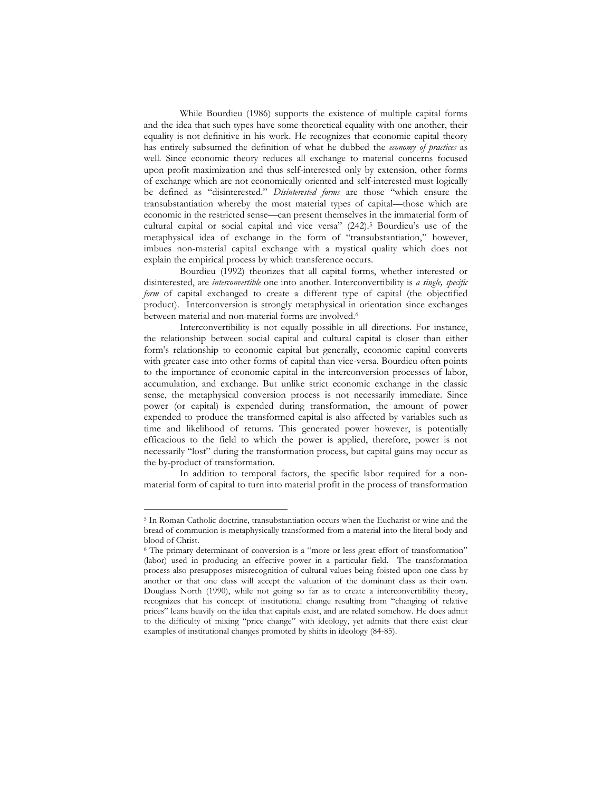While Bourdieu (1986) supports the existence of multiple capital forms and the idea that such types have some theoretical equality with one another, their equality is not definitive in his work. He recognizes that economic capital theory has entirely subsumed the definition of what he dubbed the economy of practices as well. Since economic theory reduces all exchange to material concerns focused upon profit maximization and thus self-interested only by extension, other forms of exchange which are not economically oriented and self-interested must logically be defined as "disinterested." Disinterested forms are those "which ensure the transubstantiation whereby the most material types of capital—those which are economic in the restricted sense—can present themselves in the immaterial form of cultural capital or social capital and vice versa" (242).<sup>5</sup> Bourdieu's use of the metaphysical idea of exchange in the form of "transubstantiation," however, imbues non-material capital exchange with a mystical quality which does not explain the empirical process by which transference occurs.

Bourdieu (1992) theorizes that all capital forms, whether interested or disinterested, are *interconvertible* one into another. Interconvertibility is *a single, specific* form of capital exchanged to create a different type of capital (the objectified product). Interconversion is strongly metaphysical in orientation since exchanges between material and non-material forms are involved.<sup>6</sup>

Interconvertibility is not equally possible in all directions. For instance, the relationship between social capital and cultural capital is closer than either form's relationship to economic capital but generally, economic capital converts with greater ease into other forms of capital than vice-versa. Bourdieu often points to the importance of economic capital in the interconversion processes of labor, accumulation, and exchange. But unlike strict economic exchange in the classic sense, the metaphysical conversion process is not necessarily immediate. Since power (or capital) is expended during transformation, the amount of power expended to produce the transformed capital is also affected by variables such as time and likelihood of returns. This generated power however, is potentially efficacious to the field to which the power is applied, therefore, power is not necessarily "lost" during the transformation process, but capital gains may occur as the by-product of transformation.

In addition to temporal factors, the specific labor required for a nonmaterial form of capital to turn into material profit in the process of transformation

<sup>5</sup> In Roman Catholic doctrine, transubstantiation occurs when the Eucharist or wine and the bread of communion is metaphysically transformed from a material into the literal body and blood of Christ.

<sup>6</sup> The primary determinant of conversion is a "more or less great effort of transformation" (labor) used in producing an effective power in a particular field. The transformation process also presupposes misrecognition of cultural values being foisted upon one class by another or that one class will accept the valuation of the dominant class as their own. Douglass North (1990), while not going so far as to create a interconvertibility theory, recognizes that his concept of institutional change resulting from "changing of relative prices" leans heavily on the idea that capitals exist, and are related somehow. He does admit to the difficulty of mixing "price change" with ideology, yet admits that there exist clear examples of institutional changes promoted by shifts in ideology (84-85).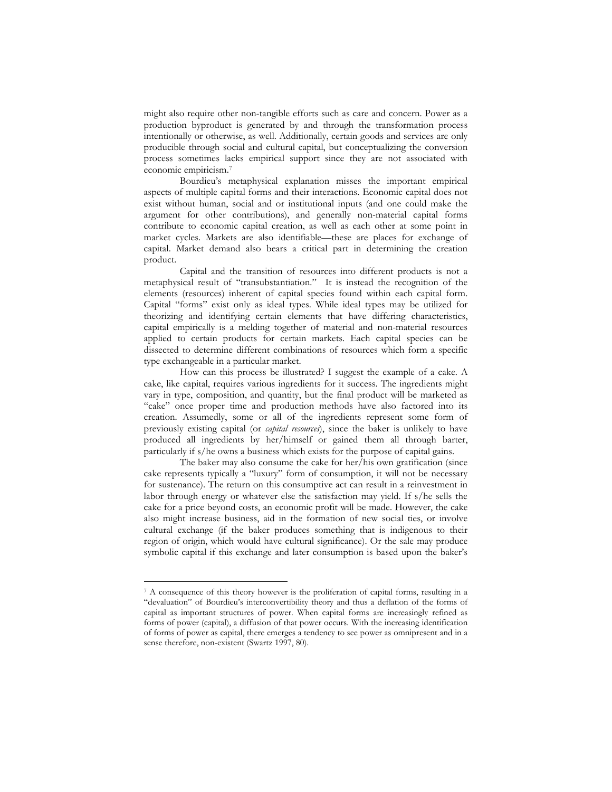might also require other non-tangible efforts such as care and concern. Power as a production byproduct is generated by and through the transformation process intentionally or otherwise, as well. Additionally, certain goods and services are only producible through social and cultural capital, but conceptualizing the conversion process sometimes lacks empirical support since they are not associated with economic empiricism.<sup>7</sup>

Bourdieu's metaphysical explanation misses the important empirical aspects of multiple capital forms and their interactions. Economic capital does not exist without human, social and or institutional inputs (and one could make the argument for other contributions), and generally non-material capital forms contribute to economic capital creation, as well as each other at some point in market cycles. Markets are also identifiable—these are places for exchange of capital. Market demand also bears a critical part in determining the creation product.

Capital and the transition of resources into different products is not a metaphysical result of "transubstantiation." It is instead the recognition of the elements (resources) inherent of capital species found within each capital form. Capital "forms" exist only as ideal types. While ideal types may be utilized for theorizing and identifying certain elements that have differing characteristics, capital empirically is a melding together of material and non-material resources applied to certain products for certain markets. Each capital species can be dissected to determine different combinations of resources which form a specific type exchangeable in a particular market.

How can this process be illustrated? I suggest the example of a cake. A cake, like capital, requires various ingredients for it success. The ingredients might vary in type, composition, and quantity, but the final product will be marketed as "cake" once proper time and production methods have also factored into its creation. Assumedly, some or all of the ingredients represent some form of previously existing capital (or *capital resources*), since the baker is unlikely to have produced all ingredients by her/himself or gained them all through barter, particularly if s/he owns a business which exists for the purpose of capital gains.

The baker may also consume the cake for her/his own gratification (since cake represents typically a "luxury" form of consumption, it will not be necessary for sustenance). The return on this consumptive act can result in a reinvestment in labor through energy or whatever else the satisfaction may yield. If s/he sells the cake for a price beyond costs, an economic profit will be made. However, the cake also might increase business, aid in the formation of new social ties, or involve cultural exchange (if the baker produces something that is indigenous to their region of origin, which would have cultural significance). Or the sale may produce symbolic capital if this exchange and later consumption is based upon the baker's

<sup>7</sup> A consequence of this theory however is the proliferation of capital forms, resulting in a "devaluation" of Bourdieu's interconvertibility theory and thus a deflation of the forms of capital as important structures of power. When capital forms are increasingly refined as forms of power (capital), a diffusion of that power occurs. With the increasing identification of forms of power as capital, there emerges a tendency to see power as omnipresent and in a sense therefore, non-existent (Swartz 1997, 80).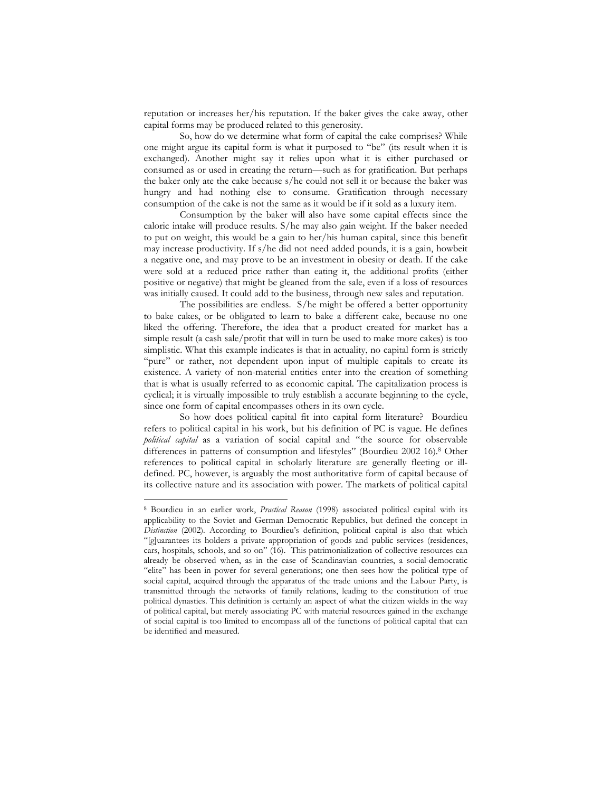reputation or increases her/his reputation. If the baker gives the cake away, other capital forms may be produced related to this generosity.

So, how do we determine what form of capital the cake comprises? While one might argue its capital form is what it purposed to "be" (its result when it is exchanged). Another might say it relies upon what it is either purchased or consumed as or used in creating the return—such as for gratification. But perhaps the baker only ate the cake because s/he could not sell it or because the baker was hungry and had nothing else to consume. Gratification through necessary consumption of the cake is not the same as it would be if it sold as a luxury item.

Consumption by the baker will also have some capital effects since the caloric intake will produce results. S/he may also gain weight. If the baker needed to put on weight, this would be a gain to her/his human capital, since this benefit may increase productivity. If s/he did not need added pounds, it is a gain, howbeit a negative one, and may prove to be an investment in obesity or death. If the cake were sold at a reduced price rather than eating it, the additional profits (either positive or negative) that might be gleaned from the sale, even if a loss of resources was initially caused. It could add to the business, through new sales and reputation.

The possibilities are endless. S/he might be offered a better opportunity to bake cakes, or be obligated to learn to bake a different cake, because no one liked the offering. Therefore, the idea that a product created for market has a simple result (a cash sale/profit that will in turn be used to make more cakes) is too simplistic. What this example indicates is that in actuality, no capital form is strictly "pure" or rather, not dependent upon input of multiple capitals to create its existence. A variety of non-material entities enter into the creation of something that is what is usually referred to as economic capital. The capitalization process is cyclical; it is virtually impossible to truly establish a accurate beginning to the cycle, since one form of capital encompasses others in its own cycle.

So how does political capital fit into capital form literature? Bourdieu refers to political capital in his work, but his definition of PC is vague. He defines political capital as a variation of social capital and "the source for observable differences in patterns of consumption and lifestyles" (Bourdieu 2002 16).<sup>8</sup> Other references to political capital in scholarly literature are generally fleeting or illdefined. PC, however, is arguably the most authoritative form of capital because of its collective nature and its association with power. The markets of political capital

<sup>&</sup>lt;sup>8</sup> Bourdieu in an earlier work, *Practical Reason* (1998) associated political capital with its applicability to the Soviet and German Democratic Republics, but defined the concept in Distinction (2002). According to Bourdieu's definition, political capital is also that which "[g]uarantees its holders a private appropriation of goods and public services (residences, cars, hospitals, schools, and so on" (16). This patrimonialization of collective resources can already be observed when, as in the case of Scandinavian countries, a social-democratic "elite" has been in power for several generations; one then sees how the political type of social capital, acquired through the apparatus of the trade unions and the Labour Party, is transmitted through the networks of family relations, leading to the constitution of true political dynasties. This definition is certainly an aspect of what the citizen wields in the way of political capital, but merely associating PC with material resources gained in the exchange of social capital is too limited to encompass all of the functions of political capital that can be identified and measured.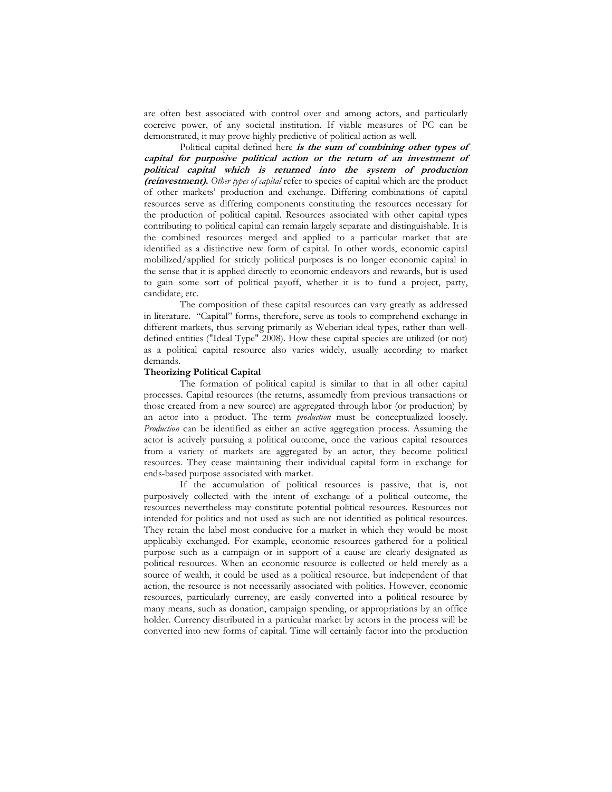are often best associated with control over and among actors, and particularly coercive power, of any societal institution. If viable measures of PC can be demonstrated, it may prove highly predictive of political action as well.

Political capital defined here is the sum of combining other types of capital for purposive political action or the return of an investment of political capital which is returned into the system of production *(reinvestment).* Other types of capital refer to species of capital which are the product of other markets' production and exchange. Differing combinations of capital resources serve as differing components constituting the resources necessary for the production of political capital. Resources associated with other capital types contributing to political capital can remain largely separate and distinguishable. It is the combined resources merged and applied to a particular market that are identified as a distinctive new form of capital. In other words, economic capital mobilized/applied for strictly political purposes is no longer economic capital in the sense that it is applied directly to economic endeavors and rewards, but is used to gain some sort of political payoff, whether it is to fund a project, party, candidate, etc.

The composition of these capital resources can vary greatly as addressed in literature. "Capital" forms, therefore, serve as tools to comprehend exchange in different markets, thus serving primarily as Weberian ideal types, rather than welldefined entities ("Ideal Type" 2008). How these capital species are utilized (or not) as a political capital resource also varies widely, usually according to market demands.

#### Theorizing Political Capital

The formation of political capital is similar to that in all other capital processes. Capital resources (the returns, assumedly from previous transactions or those created from a new source) are aggregated through labor (or production) by an actor into a product. The term production must be conceptualized loosely. Production can be identified as either an active aggregation process. Assuming the actor is actively pursuing a political outcome, once the various capital resources from a variety of markets are aggregated by an actor, they become political resources. They cease maintaining their individual capital form in exchange for ends-based purpose associated with market.

If the accumulation of political resources is passive, that is, not purposively collected with the intent of exchange of a political outcome, the resources nevertheless may constitute potential political resources. Resources not intended for politics and not used as such are not identified as political resources. They retain the label most conducive for a market in which they would be most applicably exchanged. For example, economic resources gathered for a political purpose such as a campaign or in support of a cause are clearly designated as political resources. When an economic resource is collected or held merely as a source of wealth, it could be used as a political resource, but independent of that action, the resource is not necessarily associated with politics. However, economic resources, particularly currency, are easily converted into a political resource by many means, such as donation, campaign spending, or appropriations by an office holder. Currency distributed in a particular market by actors in the process will be converted into new forms of capital. Time will certainly factor into the production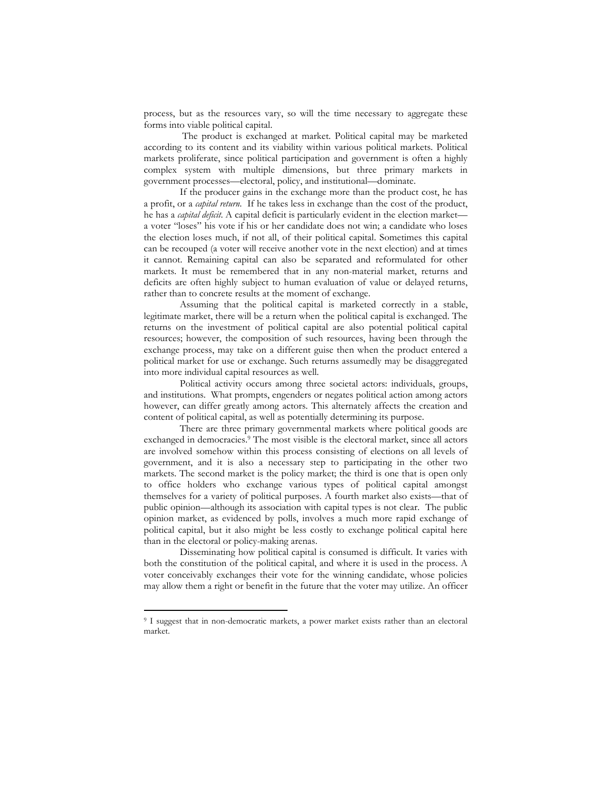process, but as the resources vary, so will the time necessary to aggregate these forms into viable political capital.

 The product is exchanged at market. Political capital may be marketed according to its content and its viability within various political markets. Political markets proliferate, since political participation and government is often a highly complex system with multiple dimensions, but three primary markets in government processes—electoral, policy, and institutional—dominate.

If the producer gains in the exchange more than the product cost, he has a profit, or a capital return. If he takes less in exchange than the cost of the product, he has a *capital deficit*. A capital deficit is particularly evident in the election market a voter "loses" his vote if his or her candidate does not win; a candidate who loses the election loses much, if not all, of their political capital. Sometimes this capital can be recouped (a voter will receive another vote in the next election) and at times it cannot. Remaining capital can also be separated and reformulated for other markets. It must be remembered that in any non-material market, returns and deficits are often highly subject to human evaluation of value or delayed returns, rather than to concrete results at the moment of exchange.

Assuming that the political capital is marketed correctly in a stable, legitimate market, there will be a return when the political capital is exchanged. The returns on the investment of political capital are also potential political capital resources; however, the composition of such resources, having been through the exchange process, may take on a different guise then when the product entered a political market for use or exchange. Such returns assumedly may be disaggregated into more individual capital resources as well.

Political activity occurs among three societal actors: individuals, groups, and institutions. What prompts, engenders or negates political action among actors however, can differ greatly among actors. This alternately affects the creation and content of political capital, as well as potentially determining its purpose.

There are three primary governmental markets where political goods are exchanged in democracies.<sup>9</sup> The most visible is the electoral market, since all actors are involved somehow within this process consisting of elections on all levels of government, and it is also a necessary step to participating in the other two markets. The second market is the policy market; the third is one that is open only to office holders who exchange various types of political capital amongst themselves for a variety of political purposes. A fourth market also exists—that of public opinion—although its association with capital types is not clear. The public opinion market, as evidenced by polls, involves a much more rapid exchange of political capital, but it also might be less costly to exchange political capital here than in the electoral or policy-making arenas.

Disseminating how political capital is consumed is difficult. It varies with both the constitution of the political capital, and where it is used in the process. A voter conceivably exchanges their vote for the winning candidate, whose policies may allow them a right or benefit in the future that the voter may utilize. An officer

<sup>&</sup>lt;sup>9</sup> I suggest that in non-democratic markets, a power market exists rather than an electoral market.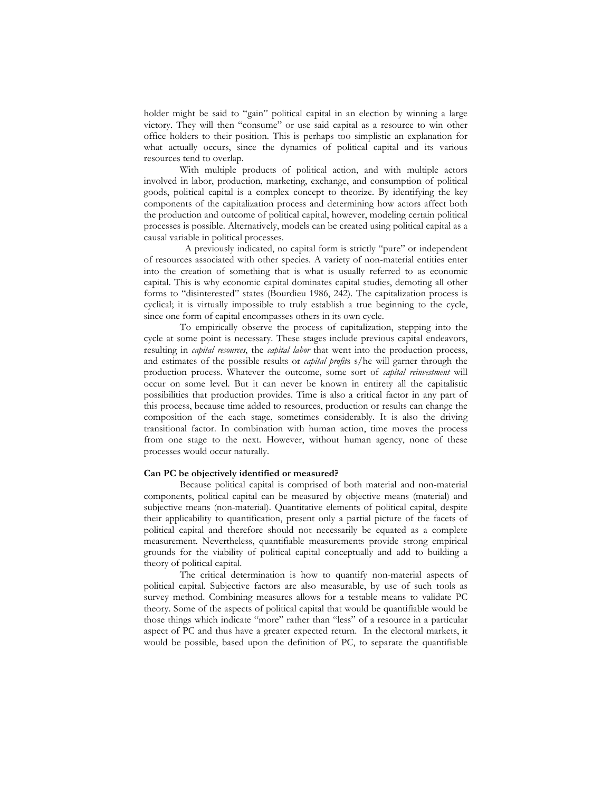holder might be said to "gain" political capital in an election by winning a large victory. They will then "consume" or use said capital as a resource to win other office holders to their position. This is perhaps too simplistic an explanation for what actually occurs, since the dynamics of political capital and its various resources tend to overlap.

With multiple products of political action, and with multiple actors involved in labor, production, marketing, exchange, and consumption of political goods, political capital is a complex concept to theorize. By identifying the key components of the capitalization process and determining how actors affect both the production and outcome of political capital, however, modeling certain political processes is possible. Alternatively, models can be created using political capital as a causal variable in political processes.

 A previously indicated, no capital form is strictly "pure" or independent of resources associated with other species. A variety of non-material entities enter into the creation of something that is what is usually referred to as economic capital. This is why economic capital dominates capital studies, demoting all other forms to "disinterested" states (Bourdieu 1986, 242). The capitalization process is cyclical; it is virtually impossible to truly establish a true beginning to the cycle, since one form of capital encompasses others in its own cycle.

To empirically observe the process of capitalization, stepping into the cycle at some point is necessary. These stages include previous capital endeavors, resulting in *capital resources*, the *capital labor* that went into the production process, and estimates of the possible results or *capital profits* s/he will garner through the production process. Whatever the outcome, some sort of capital reinvestment will occur on some level. But it can never be known in entirety all the capitalistic possibilities that production provides. Time is also a critical factor in any part of this process, because time added to resources, production or results can change the composition of the each stage, sometimes considerably. It is also the driving transitional factor. In combination with human action, time moves the process from one stage to the next. However, without human agency, none of these processes would occur naturally.

#### Can PC be objectively identified or measured?

Because political capital is comprised of both material and non-material components, political capital can be measured by objective means (material) and subjective means (non-material). Quantitative elements of political capital, despite their applicability to quantification, present only a partial picture of the facets of political capital and therefore should not necessarily be equated as a complete measurement. Nevertheless, quantifiable measurements provide strong empirical grounds for the viability of political capital conceptually and add to building a theory of political capital.

The critical determination is how to quantify non-material aspects of political capital. Subjective factors are also measurable, by use of such tools as survey method. Combining measures allows for a testable means to validate PC theory. Some of the aspects of political capital that would be quantifiable would be those things which indicate "more" rather than "less" of a resource in a particular aspect of PC and thus have a greater expected return. In the electoral markets, it would be possible, based upon the definition of PC, to separate the quantifiable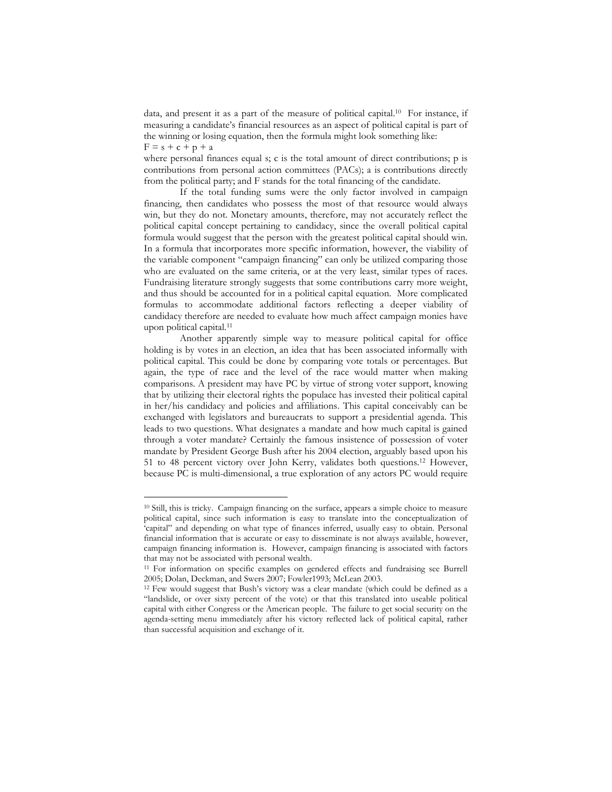data, and present it as a part of the measure of political capital.10 For instance, if measuring a candidate's financial resources as an aspect of political capital is part of the winning or losing equation, then the formula might look something like:  $F = s + c + p + a$ 

where personal finances equal s; c is the total amount of direct contributions; p is contributions from personal action committees (PACs); a is contributions directly from the political party; and F stands for the total financing of the candidate.

If the total funding sums were the only factor involved in campaign financing, then candidates who possess the most of that resource would always win, but they do not. Monetary amounts, therefore, may not accurately reflect the political capital concept pertaining to candidacy, since the overall political capital formula would suggest that the person with the greatest political capital should win. In a formula that incorporates more specific information, however, the viability of the variable component "campaign financing" can only be utilized comparing those who are evaluated on the same criteria, or at the very least, similar types of races. Fundraising literature strongly suggests that some contributions carry more weight, and thus should be accounted for in a political capital equation. More complicated formulas to accommodate additional factors reflecting a deeper viability of candidacy therefore are needed to evaluate how much affect campaign monies have upon political capital.<sup>11</sup>

Another apparently simple way to measure political capital for office holding is by votes in an election, an idea that has been associated informally with political capital. This could be done by comparing vote totals or percentages. But again, the type of race and the level of the race would matter when making comparisons. A president may have PC by virtue of strong voter support, knowing that by utilizing their electoral rights the populace has invested their political capital in her/his candidacy and policies and affiliations. This capital conceivably can be exchanged with legislators and bureaucrats to support a presidential agenda. This leads to two questions. What designates a mandate and how much capital is gained through a voter mandate? Certainly the famous insistence of possession of voter mandate by President George Bush after his 2004 election, arguably based upon his 51 to 48 percent victory over John Kerry, validates both questions.12 However, because PC is multi-dimensional, a true exploration of any actors PC would require

<sup>10</sup> Still, this is tricky. Campaign financing on the surface, appears a simple choice to measure political capital, since such information is easy to translate into the conceptualization of 'capital" and depending on what type of finances inferred, usually easy to obtain. Personal financial information that is accurate or easy to disseminate is not always available, however, campaign financing information is. However, campaign financing is associated with factors that may not be associated with personal wealth.

<sup>11</sup> For information on specific examples on gendered effects and fundraising see Burrell 2005; Dolan, Deckman, and Swers 2007; Fowler1993; McLean 2003.

<sup>12</sup> Few would suggest that Bush's victory was a clear mandate (which could be defined as a "landslide, or over sixty percent of the vote) or that this translated into useable political capital with either Congress or the American people. The failure to get social security on the agenda-setting menu immediately after his victory reflected lack of political capital, rather than successful acquisition and exchange of it.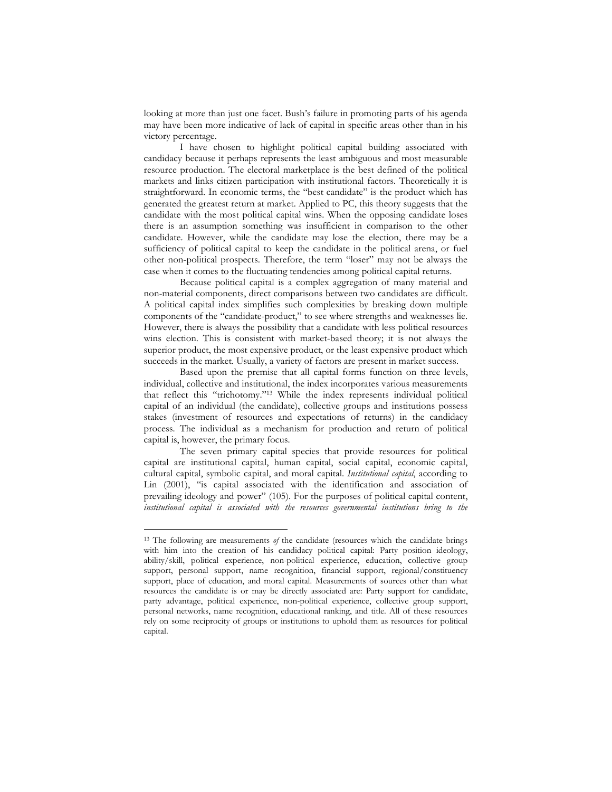looking at more than just one facet. Bush's failure in promoting parts of his agenda may have been more indicative of lack of capital in specific areas other than in his victory percentage.

I have chosen to highlight political capital building associated with candidacy because it perhaps represents the least ambiguous and most measurable resource production. The electoral marketplace is the best defined of the political markets and links citizen participation with institutional factors. Theoretically it is straightforward. In economic terms, the "best candidate" is the product which has generated the greatest return at market. Applied to PC, this theory suggests that the candidate with the most political capital wins. When the opposing candidate loses there is an assumption something was insufficient in comparison to the other candidate. However, while the candidate may lose the election, there may be a sufficiency of political capital to keep the candidate in the political arena, or fuel other non-political prospects. Therefore, the term "loser" may not be always the case when it comes to the fluctuating tendencies among political capital returns.

Because political capital is a complex aggregation of many material and non-material components, direct comparisons between two candidates are difficult. A political capital index simplifies such complexities by breaking down multiple components of the "candidate-product," to see where strengths and weaknesses lie. However, there is always the possibility that a candidate with less political resources wins election. This is consistent with market-based theory; it is not always the superior product, the most expensive product, or the least expensive product which succeeds in the market. Usually, a variety of factors are present in market success.

Based upon the premise that all capital forms function on three levels, individual, collective and institutional, the index incorporates various measurements that reflect this "trichotomy."13 While the index represents individual political capital of an individual (the candidate), collective groups and institutions possess stakes (investment of resources and expectations of returns) in the candidacy process. The individual as a mechanism for production and return of political capital is, however, the primary focus.

The seven primary capital species that provide resources for political capital are institutional capital, human capital, social capital, economic capital, cultural capital, symbolic capital, and moral capital. Institutional capital, according to Lin (2001), "is capital associated with the identification and association of prevailing ideology and power" (105). For the purposes of political capital content, institutional capital is associated with the resources governmental institutions bring to the

 $13$  The following are measurements  $of$  the candidate (resources which the candidate brings with him into the creation of his candidacy political capital: Party position ideology, ability/skill, political experience, non-political experience, education, collective group support, personal support, name recognition, financial support, regional/constituency support, place of education, and moral capital. Measurements of sources other than what resources the candidate is or may be directly associated are: Party support for candidate, party advantage, political experience, non-political experience, collective group support, personal networks, name recognition, educational ranking, and title. All of these resources rely on some reciprocity of groups or institutions to uphold them as resources for political capital.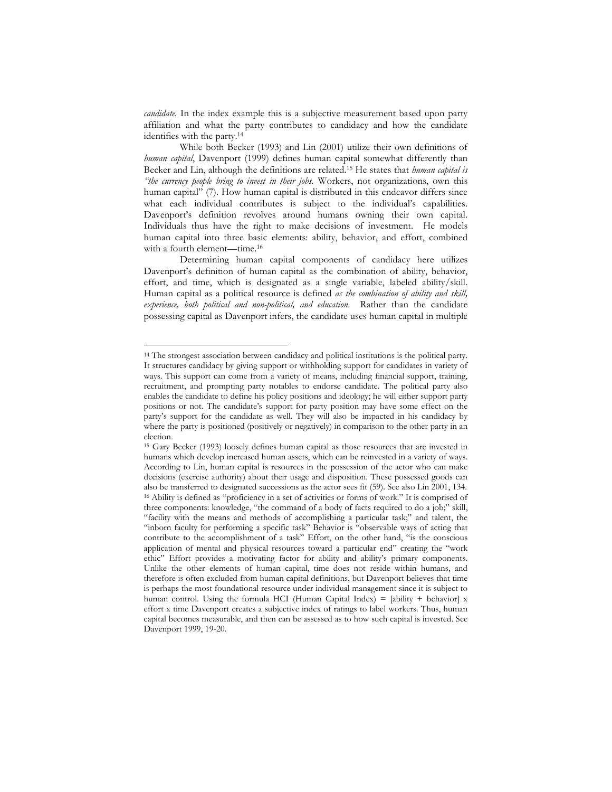*candidate*. In the index example this is a subjective measurement based upon party affiliation and what the party contributes to candidacy and how the candidate identifies with the party.<sup>14</sup>

While both Becker (1993) and Lin (2001) utilize their own definitions of human capital, Davenport (1999) defines human capital somewhat differently than Becker and Lin, although the definitions are related.<sup>15</sup> He states that *human capital is* "the currency people bring to invest in their jobs. Workers, not organizations, own this human capital" (7). How human capital is distributed in this endeavor differs since what each individual contributes is subject to the individual's capabilities. Davenport's definition revolves around humans owning their own capital. Individuals thus have the right to make decisions of investment. He models human capital into three basic elements: ability, behavior, and effort, combined with a fourth element—time.<sup>16</sup>

Determining human capital components of candidacy here utilizes Davenport's definition of human capital as the combination of ability, behavior, effort, and time, which is designated as a single variable, labeled ability/skill. Human capital as a political resource is defined *as the combination of ability and skill*, experience, both political and non-political, and education. Rather than the candidate possessing capital as Davenport infers, the candidate uses human capital in multiple

<sup>14</sup> The strongest association between candidacy and political institutions is the political party. It structures candidacy by giving support or withholding support for candidates in variety of ways. This support can come from a variety of means, including financial support, training, recruitment, and prompting party notables to endorse candidate. The political party also enables the candidate to define his policy positions and ideology; he will either support party positions or not. The candidate's support for party position may have some effect on the party's support for the candidate as well. They will also be impacted in his candidacy by where the party is positioned (positively or negatively) in comparison to the other party in an election.

<sup>15</sup> Gary Becker (1993) loosely defines human capital as those resources that are invested in humans which develop increased human assets, which can be reinvested in a variety of ways. According to Lin, human capital is resources in the possession of the actor who can make decisions (exercise authority) about their usage and disposition. These possessed goods can also be transferred to designated successions as the actor sees fit (59). See also Lin 2001, 134. <sup>16</sup> Ability is defined as "proficiency in a set of activities or forms of work." It is comprised of three components: knowledge, "the command of a body of facts required to do a job;" skill, "facility with the means and methods of accomplishing a particular task;" and talent, the "inborn faculty for performing a specific task" Behavior is "observable ways of acting that contribute to the accomplishment of a task" Effort, on the other hand, "is the conscious application of mental and physical resources toward a particular end" creating the "work ethic" Effort provides a motivating factor for ability and ability's primary components. Unlike the other elements of human capital, time does not reside within humans, and therefore is often excluded from human capital definitions, but Davenport believes that time is perhaps the most foundational resource under individual management since it is subject to human control. Using the formula HCI (Human Capital Index) = [ability + behavior]  $x$ effort x time Davenport creates a subjective index of ratings to label workers. Thus, human capital becomes measurable, and then can be assessed as to how such capital is invested. See Davenport 1999, 19-20.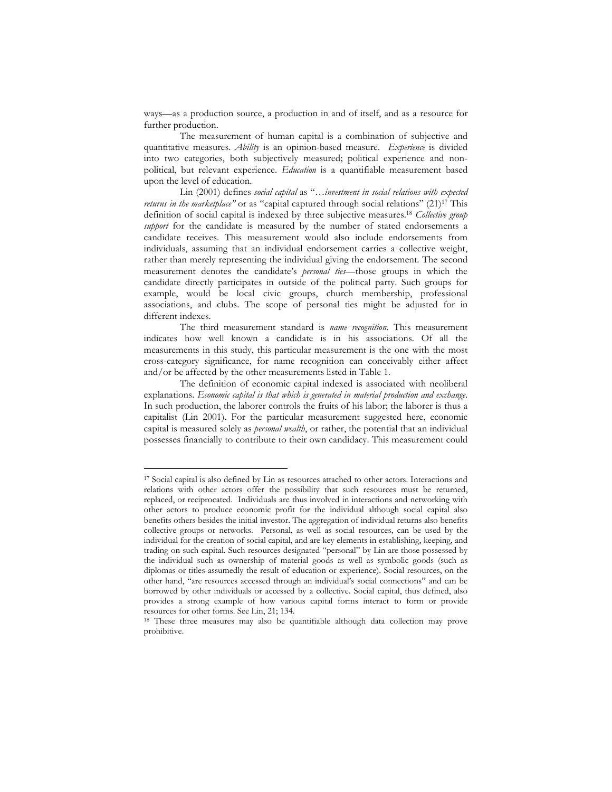ways—as a production source, a production in and of itself, and as a resource for further production.

The measurement of human capital is a combination of subjective and quantitative measures. Ability is an opinion-based measure. Experience is divided into two categories, both subjectively measured; political experience and nonpolitical, but relevant experience. Education is a quantifiable measurement based upon the level of education.

Lin (2001) defines social capital as "…investment in social relations with expected returns in the marketplace" or as "capital captured through social relations"  $(21)^{17}$  This definition of social capital is indexed by three subjective measures.<sup>18</sup> Collective group support for the candidate is measured by the number of stated endorsements a candidate receives. This measurement would also include endorsements from individuals, assuming that an individual endorsement carries a collective weight, rather than merely representing the individual giving the endorsement. The second measurement denotes the candidate's *personal ties*—those groups in which the candidate directly participates in outside of the political party. Such groups for example, would be local civic groups, church membership, professional associations, and clubs. The scope of personal ties might be adjusted for in different indexes.

The third measurement standard is *name recognition*. This measurement indicates how well known a candidate is in his associations. Of all the measurements in this study, this particular measurement is the one with the most cross-category significance, for name recognition can conceivably either affect and/or be affected by the other measurements listed in Table 1.

The definition of economic capital indexed is associated with neoliberal explanations. Economic capital is that which is generated in material production and exchange. In such production, the laborer controls the fruits of his labor; the laborer is thus a capitalist (Lin 2001). For the particular measurement suggested here, economic capital is measured solely as *personal wealth*, or rather, the potential that an individual possesses financially to contribute to their own candidacy. This measurement could

<sup>&</sup>lt;sup>17</sup> Social capital is also defined by Lin as resources attached to other actors. Interactions and relations with other actors offer the possibility that such resources must be returned, replaced, or reciprocated. Individuals are thus involved in interactions and networking with other actors to produce economic profit for the individual although social capital also benefits others besides the initial investor. The aggregation of individual returns also benefits collective groups or networks. Personal, as well as social resources, can be used by the individual for the creation of social capital, and are key elements in establishing, keeping, and trading on such capital. Such resources designated "personal" by Lin are those possessed by the individual such as ownership of material goods as well as symbolic goods (such as diplomas or titles-assumedly the result of education or experience). Social resources, on the other hand, "are resources accessed through an individual's social connections" and can be borrowed by other individuals or accessed by a collective. Social capital, thus defined, also provides a strong example of how various capital forms interact to form or provide resources for other forms. See Lin, 21; 134.

<sup>18</sup> These three measures may also be quantifiable although data collection may prove prohibitive.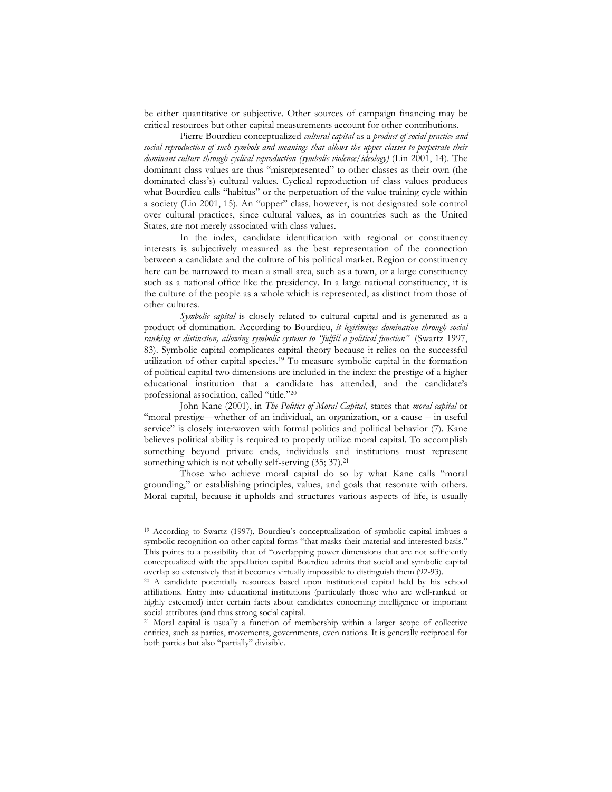be either quantitative or subjective. Other sources of campaign financing may be critical resources but other capital measurements account for other contributions.

Pierre Bourdieu conceptualized *cultural capital* as a *product of social practice and* social reproduction of such symbols and meanings that allows the upper classes to perpetrate their dominant culture through cyclical reproduction (symbolic violence/ideology) (Lin 2001, 14). The dominant class values are thus "misrepresented" to other classes as their own (the dominated class's) cultural values. Cyclical reproduction of class values produces what Bourdieu calls "habitus" or the perpetuation of the value training cycle within a society (Lin 2001, 15). An "upper" class, however, is not designated sole control over cultural practices, since cultural values, as in countries such as the United States, are not merely associated with class values.

In the index, candidate identification with regional or constituency interests is subjectively measured as the best representation of the connection between a candidate and the culture of his political market. Region or constituency here can be narrowed to mean a small area, such as a town, or a large constituency such as a national office like the presidency. In a large national constituency, it is the culture of the people as a whole which is represented, as distinct from those of other cultures.

Symbolic capital is closely related to cultural capital and is generated as a product of domination. According to Bourdieu, it legitimizes domination through social ranking or distinction, allowing symbolic systems to "fulfill a political function" (Swartz 1997, 83). Symbolic capital complicates capital theory because it relies on the successful utilization of other capital species.19 To measure symbolic capital in the formation of political capital two dimensions are included in the index: the prestige of a higher educational institution that a candidate has attended, and the candidate's professional association, called "title."<sup>20</sup>

John Kane (2001), in The Politics of Moral Capital, states that moral capital or "moral prestige—whether of an individual, an organization, or a cause – in useful service" is closely interwoven with formal politics and political behavior (7). Kane believes political ability is required to properly utilize moral capital. To accomplish something beyond private ends, individuals and institutions must represent something which is not wholly self-serving (35; 37). 21

Those who achieve moral capital do so by what Kane calls "moral grounding," or establishing principles, values, and goals that resonate with others. Moral capital, because it upholds and structures various aspects of life, is usually

<sup>19</sup> According to Swartz (1997), Bourdieu's conceptualization of symbolic capital imbues a symbolic recognition on other capital forms "that masks their material and interested basis." This points to a possibility that of "overlapping power dimensions that are not sufficiently conceptualized with the appellation capital Bourdieu admits that social and symbolic capital overlap so extensively that it becomes virtually impossible to distinguish them (92-93).

<sup>20</sup> A candidate potentially resources based upon institutional capital held by his school affiliations. Entry into educational institutions (particularly those who are well-ranked or highly esteemed) infer certain facts about candidates concerning intelligence or important social attributes (and thus strong social capital.

<sup>21</sup> Moral capital is usually a function of membership within a larger scope of collective entities, such as parties, movements, governments, even nations. It is generally reciprocal for both parties but also "partially" divisible.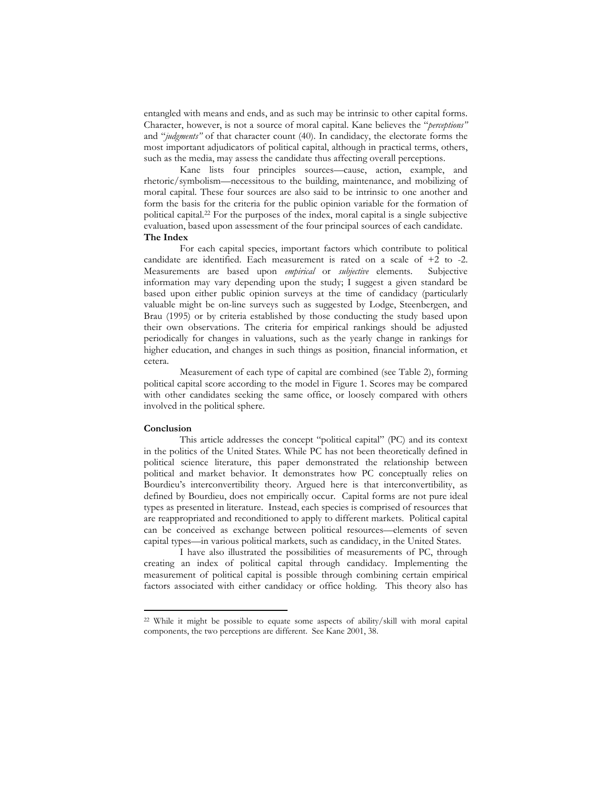entangled with means and ends, and as such may be intrinsic to other capital forms. Character, however, is not a source of moral capital. Kane believes the "*perceptions*" and "*judgments*" of that character count (40). In candidacy, the electorate forms the most important adjudicators of political capital, although in practical terms, others, such as the media, may assess the candidate thus affecting overall perceptions.

Kane lists four principles sources—cause, action, example, and rhetoric/symbolism—necessitous to the building, maintenance, and mobilizing of moral capital. These four sources are also said to be intrinsic to one another and form the basis for the criteria for the public opinion variable for the formation of political capital.22 For the purposes of the index, moral capital is a single subjective evaluation, based upon assessment of the four principal sources of each candidate. The Index

For each capital species, important factors which contribute to political candidate are identified. Each measurement is rated on a scale of +2 to -2. Measurements are based upon empirical or subjective elements. Subjective information may vary depending upon the study; I suggest a given standard be based upon either public opinion surveys at the time of candidacy (particularly valuable might be on-line surveys such as suggested by Lodge, Steenbergen, and Brau (1995) or by criteria established by those conducting the study based upon their own observations. The criteria for empirical rankings should be adjusted periodically for changes in valuations, such as the yearly change in rankings for higher education, and changes in such things as position, financial information, et cetera.

Measurement of each type of capital are combined (see Table 2), forming political capital score according to the model in Figure 1. Scores may be compared with other candidates seeking the same office, or loosely compared with others involved in the political sphere.

#### Conclusion

<u>.</u>

This article addresses the concept "political capital" (PC) and its context in the politics of the United States. While PC has not been theoretically defined in political science literature, this paper demonstrated the relationship between political and market behavior. It demonstrates how PC conceptually relies on Bourdieu's interconvertibility theory. Argued here is that interconvertibility, as defined by Bourdieu, does not empirically occur. Capital forms are not pure ideal types as presented in literature. Instead, each species is comprised of resources that are reappropriated and reconditioned to apply to different markets. Political capital can be conceived as exchange between political resources—elements of seven capital types—in various political markets, such as candidacy, in the United States.

I have also illustrated the possibilities of measurements of PC, through creating an index of political capital through candidacy. Implementing the measurement of political capital is possible through combining certain empirical factors associated with either candidacy or office holding. This theory also has

<sup>22</sup> While it might be possible to equate some aspects of ability/skill with moral capital components, the two perceptions are different. See Kane 2001, 38.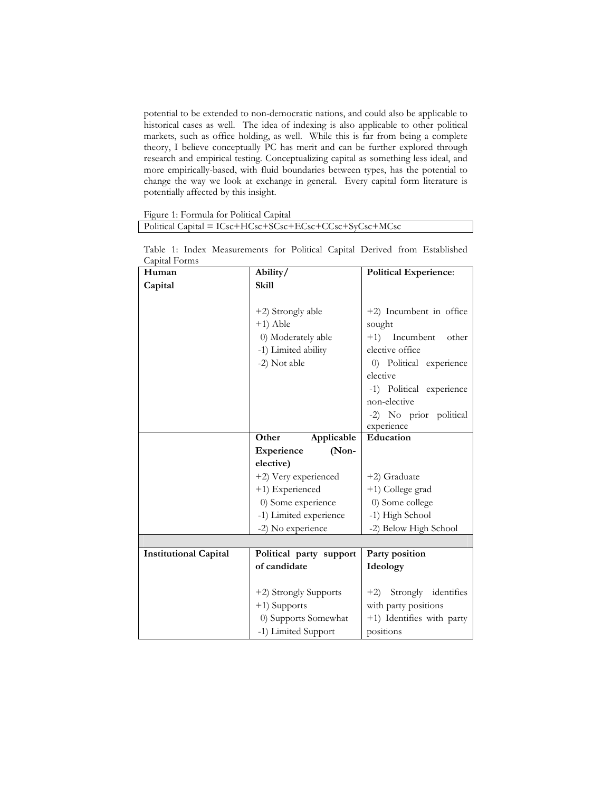potential to be extended to non-democratic nations, and could also be applicable to historical cases as well. The idea of indexing is also applicable to other political markets, such as office holding, as well. While this is far from being a complete theory, I believe conceptually PC has merit and can be further explored through research and empirical testing. Conceptualizing capital as something less ideal, and more empirically-based, with fluid boundaries between types, has the potential to change the way we look at exchange in general. Every capital form literature is potentially affected by this insight.

Figure 1: Formula for Political Capital

Political Capital = ICsc+HCsc+SCsc+ECsc+CCsc+SyCsc+MCsc

| Сарпат гоппіз<br>Human       | Ability/                | <b>Political Experience:</b> |
|------------------------------|-------------------------|------------------------------|
| Capital                      | <b>Skill</b>            |                              |
|                              |                         |                              |
|                              | +2) Strongly able       | +2) Incumbent in office      |
|                              | $+1)$ Able              | sought                       |
|                              | 0) Moderately able      | +1) Incumbent other          |
|                              | -1) Limited ability     | elective office              |
|                              | -2) Not able            | 0) Political experience      |
|                              |                         | elective                     |
|                              |                         | -1) Political experience     |
|                              |                         | non-elective                 |
|                              |                         | -2) No prior political       |
|                              |                         | experience                   |
|                              | Other<br>Applicable     | Education                    |
|                              | Experience<br>(Non-     |                              |
|                              | elective)               |                              |
|                              | +2) Very experienced    | +2) Graduate                 |
|                              | +1) Experienced         | +1) College grad             |
|                              | 0) Some experience      | 0) Some college              |
|                              | -1) Limited experience  | -1) High School              |
|                              | -2) No experience       | -2) Below High School        |
|                              |                         |                              |
| <b>Institutional Capital</b> | Political party support | Party position               |
|                              | of candidate            | Ideology                     |
|                              |                         |                              |
|                              | +2) Strongly Supports   | Strongly identifies<br>$+2)$ |
|                              | +1) Supports            | with party positions         |
|                              | 0) Supports Somewhat    | +1) Identifies with party    |
|                              | -1) Limited Support     | positions                    |

Table 1: Index Measurements for Political Capital Derived from Established Capital Forms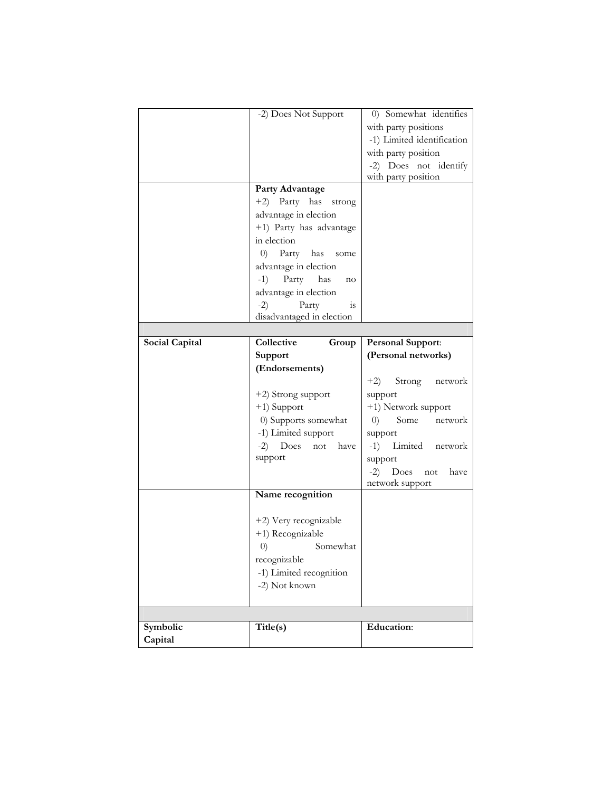|                | -2) Does Not Support          | 0) Somewhat identifies                       |
|----------------|-------------------------------|----------------------------------------------|
|                |                               | with party positions                         |
|                |                               | -1) Limited identification                   |
|                |                               | with party position                          |
|                |                               |                                              |
|                |                               | -2) Does not identify<br>with party position |
|                | Party Advantage               |                                              |
|                | Party has<br>$+2)$<br>strong  |                                              |
|                | advantage in election         |                                              |
|                |                               |                                              |
|                | +1) Party has advantage       |                                              |
|                | in election                   |                                              |
|                | 0) Party has some             |                                              |
|                | advantage in election         |                                              |
|                | Party has<br>$-1)$<br>no      |                                              |
|                | advantage in election         |                                              |
|                | $-2)$<br>Party<br>1S          |                                              |
|                | disadvantaged in election     |                                              |
|                |                               |                                              |
| Social Capital | Collective<br>Group           | Personal Support:                            |
|                | Support                       | (Personal networks)                          |
|                | (Endorsements)                |                                              |
|                |                               | Strong<br>$+2)$<br>network                   |
|                | +2) Strong support            | support                                      |
|                | +1) Support                   | +1) Network support                          |
|                | 0) Supports somewhat          | $\left( 0\right)$<br>Some<br>network         |
|                | -1) Limited support           | support                                      |
|                | $-2)$<br>Does<br>have<br>not  | Limited network<br>$-1)$                     |
|                | support                       | support                                      |
|                |                               | $-2)$<br>Does<br>have<br>not                 |
|                |                               | network support                              |
|                | Name recognition              |                                              |
|                |                               |                                              |
|                | +2) Very recognizable         |                                              |
|                | +1) Recognizable              |                                              |
|                | $\left( 0\right)$<br>Somewhat |                                              |
|                | recognizable                  |                                              |
|                |                               |                                              |
|                | -1) Limited recognition       |                                              |
|                | -2) Not known                 |                                              |
|                |                               |                                              |
|                |                               |                                              |
|                |                               |                                              |
| Symbolic       | Title(s)                      | <b>Education:</b>                            |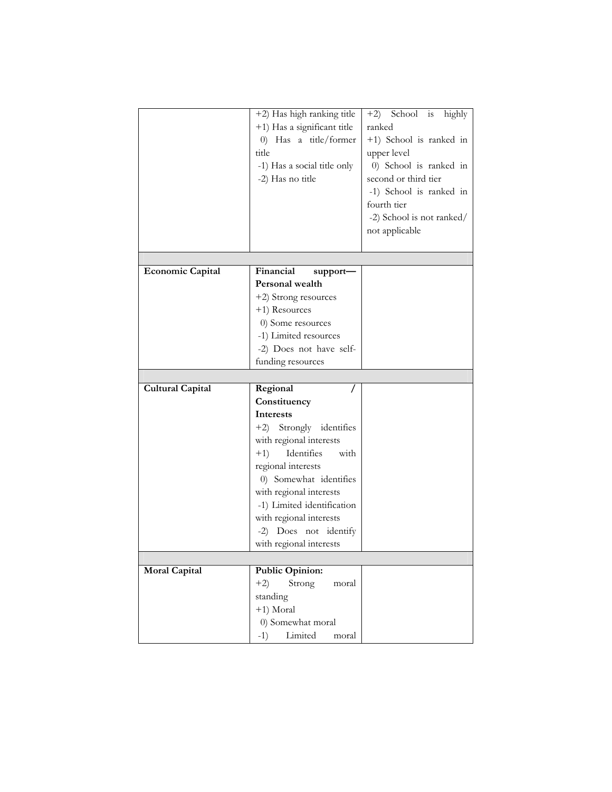|                         | +2) Has high ranking title<br>+1) Has a significant title<br>0) Has a title/former<br>title<br>-1) Has a social title only<br>-2) Has no title | +2) School is highly<br>ranked<br>+1) School is ranked in<br>upper level<br>0) School is ranked in<br>second or third tier<br>-1) School is ranked in<br>fourth tier<br>-2) School is not ranked/<br>not applicable |
|-------------------------|------------------------------------------------------------------------------------------------------------------------------------------------|---------------------------------------------------------------------------------------------------------------------------------------------------------------------------------------------------------------------|
|                         |                                                                                                                                                |                                                                                                                                                                                                                     |
| <b>Economic Capital</b> | Financial<br>support-                                                                                                                          |                                                                                                                                                                                                                     |
|                         | Personal wealth                                                                                                                                |                                                                                                                                                                                                                     |
|                         | +2) Strong resources                                                                                                                           |                                                                                                                                                                                                                     |
|                         | +1) Resources<br>0) Some resources                                                                                                             |                                                                                                                                                                                                                     |
|                         | -1) Limited resources                                                                                                                          |                                                                                                                                                                                                                     |
|                         | -2) Does not have self-                                                                                                                        |                                                                                                                                                                                                                     |
|                         | funding resources                                                                                                                              |                                                                                                                                                                                                                     |
|                         |                                                                                                                                                |                                                                                                                                                                                                                     |
| <b>Cultural Capital</b> | Regional<br>Τ                                                                                                                                  |                                                                                                                                                                                                                     |
|                         | Constituency                                                                                                                                   |                                                                                                                                                                                                                     |
|                         | Interests                                                                                                                                      |                                                                                                                                                                                                                     |
|                         | Strongly identifies<br>$+2)$                                                                                                                   |                                                                                                                                                                                                                     |
|                         | with regional interests                                                                                                                        |                                                                                                                                                                                                                     |
|                         | Identifies<br>$+1)$<br>with                                                                                                                    |                                                                                                                                                                                                                     |
|                         | regional interests                                                                                                                             |                                                                                                                                                                                                                     |
|                         | 0) Somewhat identifies                                                                                                                         |                                                                                                                                                                                                                     |
|                         | with regional interests                                                                                                                        |                                                                                                                                                                                                                     |
|                         | -1) Limited identification                                                                                                                     |                                                                                                                                                                                                                     |
|                         | with regional interests                                                                                                                        |                                                                                                                                                                                                                     |
|                         | -2) Does not identify                                                                                                                          |                                                                                                                                                                                                                     |
|                         | with regional interests                                                                                                                        |                                                                                                                                                                                                                     |
|                         |                                                                                                                                                |                                                                                                                                                                                                                     |
|                         |                                                                                                                                                |                                                                                                                                                                                                                     |
| Moral Capital           | <b>Public Opinion:</b>                                                                                                                         |                                                                                                                                                                                                                     |
|                         | Strong<br>$+2)$<br>moral                                                                                                                       |                                                                                                                                                                                                                     |
|                         | standing                                                                                                                                       |                                                                                                                                                                                                                     |
|                         | +1) Moral<br>0) Somewhat moral                                                                                                                 |                                                                                                                                                                                                                     |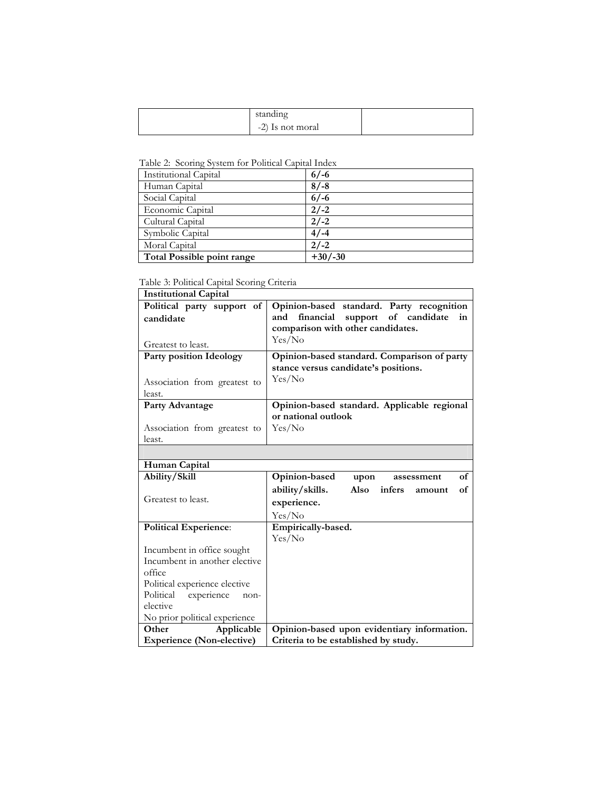| $\sim$ $\sim$<br>cton. |  |
|------------------------|--|
| -2) Is not moral       |  |

Table 2: Scoring System for Political Capital Index

| Institutional Capital      | $6/-6$    |
|----------------------------|-----------|
| Human Capital              | $8/-8$    |
| Social Capital             | $6/-6$    |
| Economic Capital           | $2/-2$    |
| Cultural Capital           | $2/-2$    |
| Symbolic Capital           | $4/-4$    |
| Moral Capital              | $2/-2$    |
| Total Possible point range | $+30/-30$ |

Table 3: Political Capital Scoring Criteria

| <b>Institutional Capital</b>    |                                                   |
|---------------------------------|---------------------------------------------------|
| Political party support<br>of   | Opinion-based standard. Party recognition         |
| candidate                       | financial<br>support of candidate<br>and<br>in    |
|                                 | comparison with other candidates.                 |
| Greatest to least.              | Yes/No                                            |
| Party position Ideology         | Opinion-based standard. Comparison of party       |
|                                 | stance versus candidate's positions.              |
|                                 | Yes/No                                            |
| Association from greatest to    |                                                   |
| least.                          |                                                   |
| <b>Party Advantage</b>          | Opinion-based standard. Applicable regional       |
|                                 | or national outlook                               |
| Association from greatest to    | Yes/No                                            |
| least.                          |                                                   |
|                                 |                                                   |
| Human Capital                   |                                                   |
| Ability/Skill                   | Opinion-based<br>of<br>upon<br>assessment         |
|                                 | ability/skills.<br>Also<br>infers<br>of<br>amount |
| Greatest to least.              | experience.                                       |
|                                 | Yes/No                                            |
| <b>Political Experience:</b>    | Empirically-based.                                |
|                                 | Yes/No                                            |
| Incumbent in office sought      |                                                   |
| Incumbent in another elective   |                                                   |
| office                          |                                                   |
| Political experience elective   |                                                   |
| Political<br>experience<br>non- |                                                   |
| elective                        |                                                   |
| No prior political experience   |                                                   |
|                                 |                                                   |
| Other<br>Applicable             | Opinion-based upon evidentiary information.       |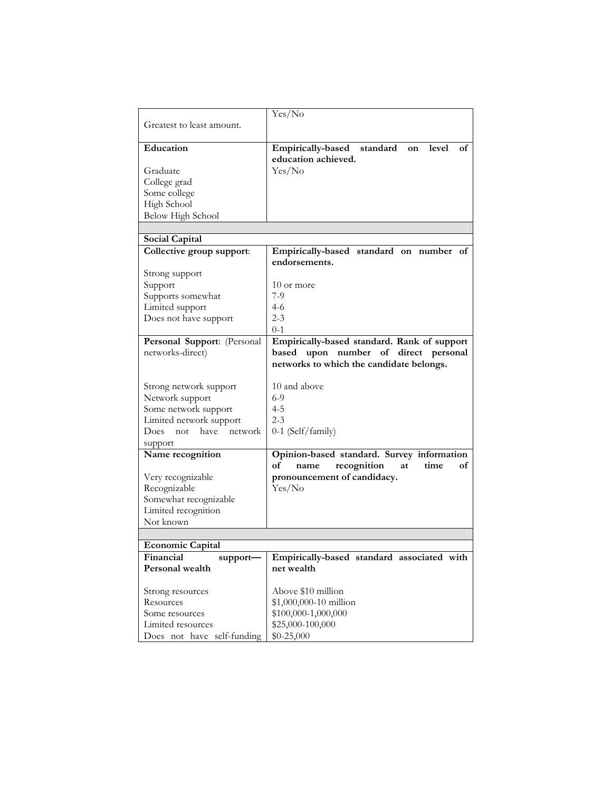|                                       | Yes/No                                          |
|---------------------------------------|-------------------------------------------------|
| Greatest to least amount.             |                                                 |
|                                       |                                                 |
| Education                             | Empirically-based standard<br>level<br>оf<br>on |
|                                       | education achieved.                             |
| Graduate                              | Yes/No                                          |
| College grad                          |                                                 |
| Some college                          |                                                 |
| High School                           |                                                 |
| <b>Below High School</b>              |                                                 |
|                                       |                                                 |
|                                       |                                                 |
| <b>Social Capital</b>                 |                                                 |
| Collective group support:             | Empirically-based standard<br>on number of      |
|                                       | endorsements.                                   |
| Strong support                        |                                                 |
| Support                               | 10 or more                                      |
| Supports somewhat                     | 7-9                                             |
| Limited support                       | 4-6                                             |
| Does not have support                 | $2 - 3$                                         |
|                                       | $() - 1$                                        |
| Personal Support: (Personal           | Empirically-based standard. Rank of support     |
|                                       |                                                 |
| networks-direct)                      | based upon number of direct personal            |
|                                       | networks to which the candidate belongs.        |
|                                       |                                                 |
| Strong network support                | 10 and above                                    |
| Network support                       | $6-9$                                           |
| Some network support                  | $4 - 5$                                         |
| Limited network support               | $2 - 3$                                         |
| <b>Does</b><br>have<br>not<br>network | 0-1 (Self/family)                               |
| support                               |                                                 |
| Name recognition                      | Opinion-based standard. Survey information      |
|                                       | of<br>name<br>recognition<br>time<br>at<br>оf   |
| Very recognizable                     | pronouncement of candidacy.                     |
| Recognizable                          | Yes/No                                          |
| Somewhat recognizable                 |                                                 |
| Limited recognition                   |                                                 |
| Not known                             |                                                 |
|                                       |                                                 |
|                                       |                                                 |
| <b>Economic Capital</b><br>Financial  | Empirically-based standard associated with      |
| support-<br>Personal wealth           | net wealth                                      |
|                                       |                                                 |
|                                       |                                                 |
| Strong resources                      | Above \$10 million                              |
| Resources                             | \$1,000,000-10 million                          |
| Some resources                        | \$100,000-1,000,000                             |
| Limited resources                     | \$25,000-100,000                                |
| Does not have self-funding            | $$0 - 25,000$                                   |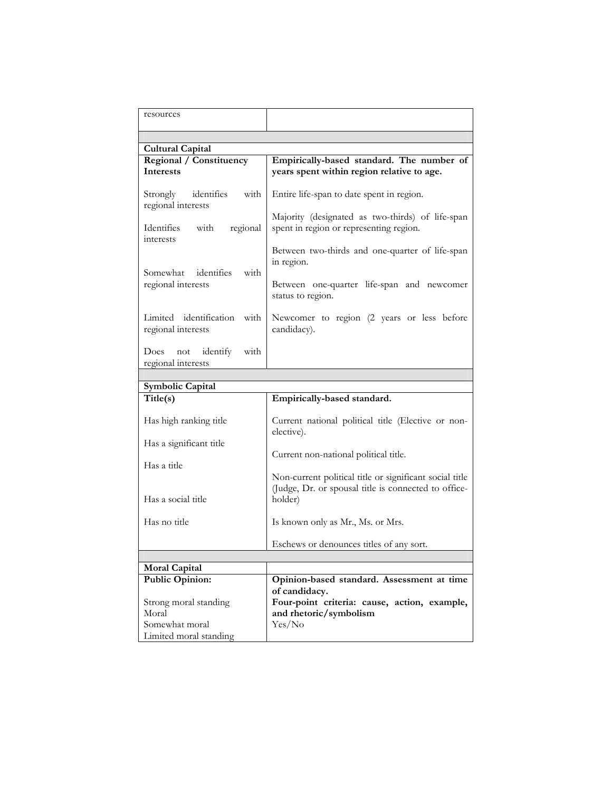| resources                                |                                                         |
|------------------------------------------|---------------------------------------------------------|
|                                          |                                                         |
| <b>Cultural Capital</b>                  |                                                         |
| <b>Regional / Constituency</b>           | Empirically-based standard. The number of               |
| Interests                                | years spent within region relative to age.              |
|                                          |                                                         |
| Strongly identifies<br>with              | Entire life-span to date spent in region.               |
| regional interests                       |                                                         |
|                                          | Majority (designated as two-thirds) of life-span        |
| Identifies<br>with<br>regional           | spent in region or representing region.                 |
| interests                                |                                                         |
|                                          | Between two-thirds and one-quarter of life-span         |
|                                          | in region.                                              |
| Somewhat<br>identifies<br>with           |                                                         |
| regional interests                       | Between one-quarter life-span and newcomer              |
|                                          | status to region.                                       |
|                                          |                                                         |
| Limited identification with              | Newcomer to region (2 years or less before              |
| regional interests                       | candidacy).                                             |
|                                          |                                                         |
| identify<br>Does not<br>with             |                                                         |
| regional interests                       |                                                         |
|                                          |                                                         |
|                                          |                                                         |
| Symbolic Capital                         |                                                         |
| Title(s)                                 | Empirically-based standard.                             |
|                                          |                                                         |
| Has high ranking title                   | Current national political title (Elective or non-      |
|                                          | elective).                                              |
| Has a significant title                  |                                                         |
| Has a title                              | Current non-national political title.                   |
|                                          |                                                         |
|                                          | Non-current political title or significant social title |
|                                          | (Judge, Dr. or spousal title is connected to office-    |
| Has a social title                       | holder)                                                 |
| Has no title                             |                                                         |
|                                          | Is known only as Mr., Ms. or Mrs.                       |
|                                          | Eschews or denounces titles of any sort.                |
|                                          |                                                         |
| <b>Moral Capital</b>                     |                                                         |
| <b>Public Opinion:</b>                   | Opinion-based standard. Assessment at time              |
|                                          | of candidacy.                                           |
| Strong moral standing                    | Four-point criteria: cause, action, example,            |
| Moral                                    | and rhetoric/symbolism                                  |
| Somewhat moral<br>Limited moral standing | Yes/No                                                  |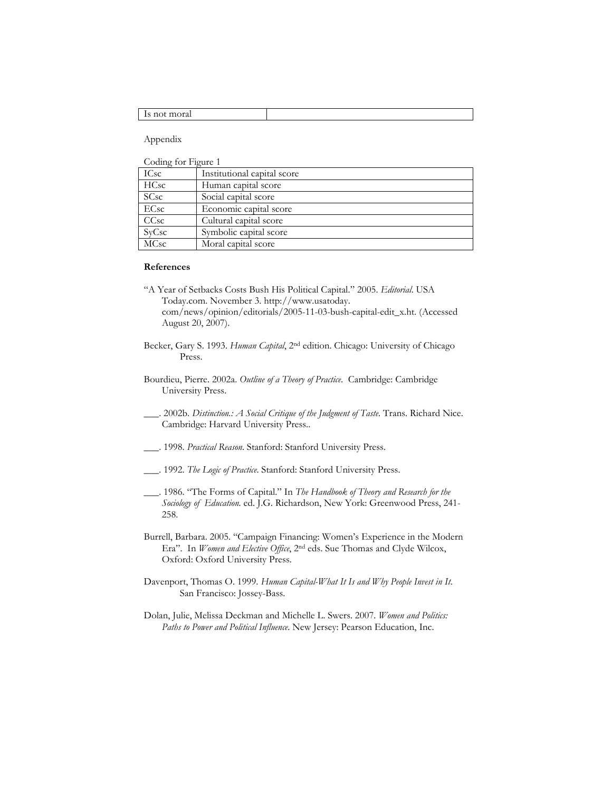| Is not moral |  |
|--------------|--|
|--------------|--|

Appendix

Coding for Figure 1

| <b>ICsc</b> | Institutional capital score |
|-------------|-----------------------------|
| <b>HCsc</b> | Human capital score         |
| SCsc        | Social capital score        |
| ECsc        | Economic capital score      |
| CCsc        | Cultural capital score      |
| SyCsc       | Symbolic capital score      |
| <b>MCsc</b> | Moral capital score         |

### References

- "A Year of Setbacks Costs Bush His Political Capital." 2005. Editorial. USA Today.com. November 3. http://www.usatoday. com/news/opinion/editorials/2005-11-03-bush-capital-edit\_x.ht. (Accessed August 20, 2007).
- Becker, Gary S. 1993. Human Capital, 2<sup>nd</sup> edition. Chicago: University of Chicago Press.
- Bourdieu, Pierre. 2002a. Outline of a Theory of Practice. Cambridge: Cambridge University Press.
- \_\_\_. 2002b. Distinction.: A Social Critique of the Judgment of Taste. Trans. Richard Nice. Cambridge: Harvard University Press..
- \_\_\_. 1998. Practical Reason. Stanford: Stanford University Press.
- \_\_\_. 1992. The Logic of Practice. Stanford: Stanford University Press.
- \_\_\_. 1986. "The Forms of Capital." In The Handbook of Theory and Research for the Sociology of Education. ed. J.G. Richardson, New York: Greenwood Press, 241-258.
- Burrell, Barbara. 2005. "Campaign Financing: Women's Experience in the Modern Era". In Women and Elective Office, 2<sup>nd</sup> eds. Sue Thomas and Clyde Wilcox, Oxford: Oxford University Press.
- Davenport, Thomas O. 1999. Human Capital-What It Is and Why People Invest in It. San Francisco: Jossey-Bass.
- Dolan, Julie, Melissa Deckman and Michelle L. Swers. 2007. Women and Politics: Paths to Power and Political Influence. New Jersey: Pearson Education, Inc.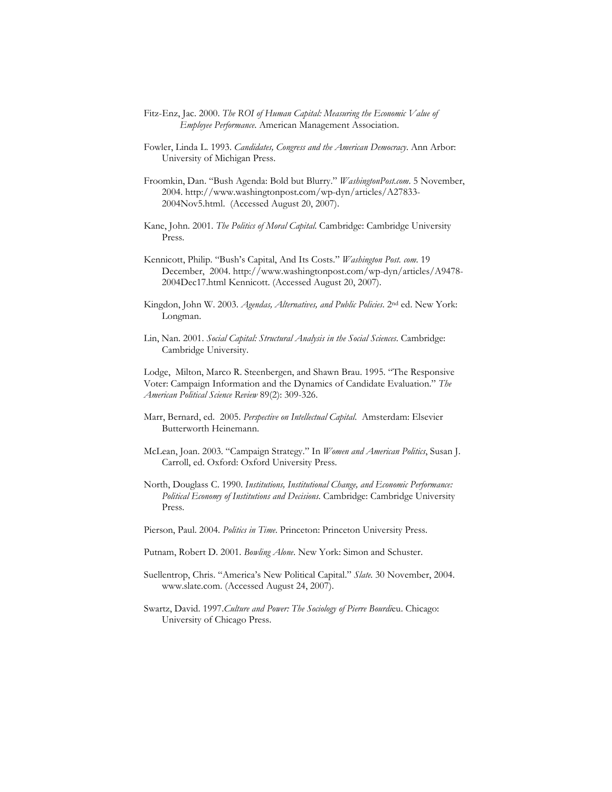- Fitz-Enz, Jac. 2000. The ROI of Human Capital: Measuring the Economic Value of Employee Performance. American Management Association.
- Fowler, Linda L. 1993. Candidates, Congress and the American Democracy. Ann Arbor: University of Michigan Press.
- Froomkin, Dan. "Bush Agenda: Bold but Blurry." WashingtonPost.com. 5 November, 2004. http://www.washingtonpost.com/wp-dyn/articles/A27833- 2004Nov5.html. (Accessed August 20, 2007).
- Kane, John. 2001. The Politics of Moral Capital. Cambridge: Cambridge University Press.
- Kennicott, Philip. "Bush's Capital, And Its Costs." Washington Post. com. 19 December, 2004. http://www.washingtonpost.com/wp-dyn/articles/A9478- 2004Dec17.html Kennicott. (Accessed August 20, 2007).
- Kingdon, John W. 2003. Agendas, Alternatives, and Public Policies. 2<sup>nd</sup> ed. New York: Longman.
- Lin, Nan. 2001. Social Capital: Structural Analysis in the Social Sciences. Cambridge: Cambridge University.

Lodge, Milton, Marco R. Steenbergen, and Shawn Brau. 1995. "The Responsive Voter: Campaign Information and the Dynamics of Candidate Evaluation." The American Political Science Review 89(2): 309-326.

- Marr, Bernard, ed. 2005. Perspective on Intellectual Capital. Amsterdam: Elsevier Butterworth Heinemann.
- McLean, Joan. 2003. "Campaign Strategy." In Women and American Politics, Susan J. Carroll, ed. Oxford: Oxford University Press.
- North, Douglass C. 1990. Institutions, Institutional Change, and Economic Performance: Political Economy of Institutions and Decisions. Cambridge: Cambridge University Press.
- Pierson, Paul. 2004. Politics in Time. Princeton: Princeton University Press.
- Putnam, Robert D. 2001. Bowling Alone. New York: Simon and Schuster.
- Suellentrop, Chris. "America's New Political Capital." Slate. 30 November, 2004. www.slate.com. (Accessed August 24, 2007).
- Swartz, David. 1997.Culture and Power: The Sociology of Pierre Bourdieu. Chicago: University of Chicago Press.